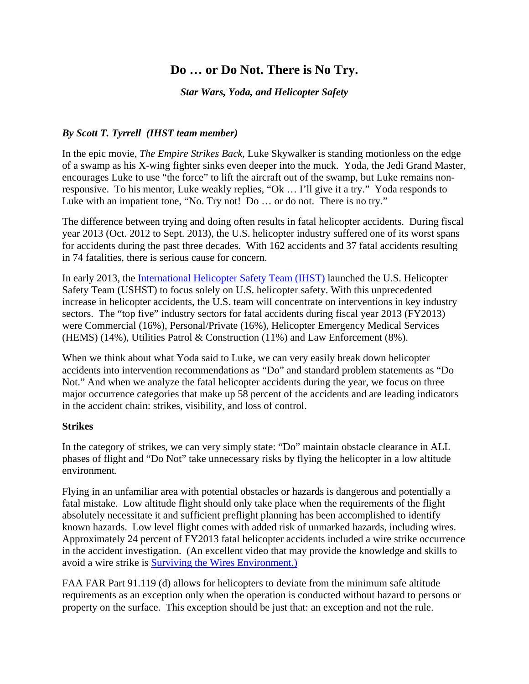# **Do … or Do Not. There is No Try.**

*Star Wars, Yoda, and Helicopter Safety* 

## *By Scott T. Tyrrell (IHST team member)*

In the epic movie, *The Empire Strikes Back*, Luke Skywalker is standing motionless on the edge of a swamp as his X-wing fighter sinks even deeper into the muck. Yoda, the Jedi Grand Master, encourages Luke to use "the force" to lift the aircraft out of the swamp, but Luke remains nonresponsive. To his mentor, Luke weakly replies, "Ok … I'll give it a try." Yoda responds to Luke with an impatient tone, "No. Try not! Do ... or do not. There is no try."

The difference between trying and doing often results in fatal helicopter accidents. During fiscal year 2013 (Oct. 2012 to Sept. 2013), the U.S. helicopter industry suffered one of its worst spans for accidents during the past three decades. With 162 accidents and 37 fatal accidents resulting in 74 fatalities, there is serious cause for concern.

In early 2013, the International Helicopter Safety Team (IHST) launched the U.S. Helicopter Safety Team (USHST) to focus solely on U.S. helicopter safety. With this unprecedented increase in helicopter accidents, the U.S. team will concentrate on interventions in key industry sectors. The "top five" industry sectors for fatal accidents during fiscal year 2013 (FY2013) were Commercial (16%), Personal/Private (16%), Helicopter Emergency Medical Services (HEMS) (14%), Utilities Patrol & Construction (11%) and Law Enforcement (8%).

When we think about what Yoda said to Luke, we can very easily break down helicopter accidents into intervention recommendations as "Do" and standard problem statements as "Do Not." And when we analyze the fatal helicopter accidents during the year, we focus on three major occurrence categories that make up 58 percent of the accidents and are leading indicators in the accident chain: strikes, visibility, and loss of control.

## **Strikes**

In the category of strikes, we can very simply state: "Do" maintain obstacle clearance in ALL phases of flight and "Do Not" take unnecessary risks by flying the helicopter in a low altitude environment.

Flying in an unfamiliar area with potential obstacles or hazards is dangerous and potentially a fatal mistake. Low altitude flight should only take place when the requirements of the flight absolutely necessitate it and sufficient preflight planning has been accomplished to identify known hazards. Low level flight comes with added risk of unmarked hazards, including wires. Approximately 24 percent of FY2013 fatal helicopter accidents included a wire strike occurrence in the accident investigation. (An excellent video that may provide the knowledge and skills to avoid a wire strike is Surviving the Wires Environment.)

FAA FAR Part 91.119 (d) allows for helicopters to deviate from the minimum safe altitude requirements as an exception only when the operation is conducted without hazard to persons or property on the surface. This exception should be just that: an exception and not the rule.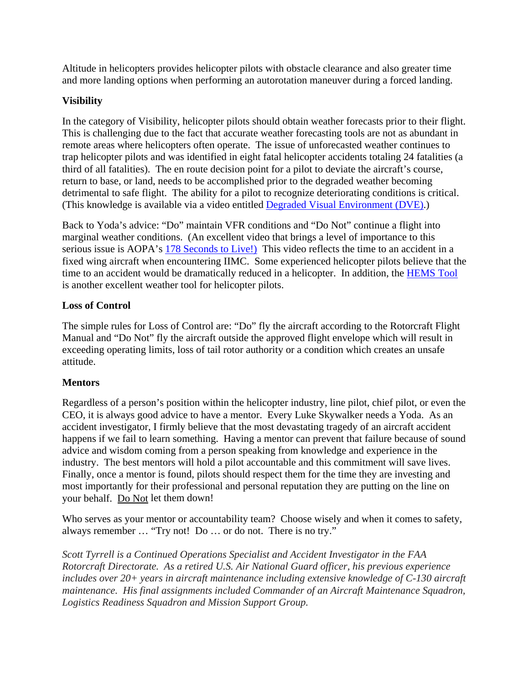Altitude in helicopters provides helicopter pilots with obstacle clearance and also greater time and more landing options when performing an autorotation maneuver during a forced landing.

## **Visibility**

In the category of Visibility, helicopter pilots should obtain weather forecasts prior to their flight. This is challenging due to the fact that accurate weather forecasting tools are not as abundant in remote areas where helicopters often operate. The issue of unforecasted weather continues to trap helicopter pilots and was identified in eight fatal helicopter accidents totaling 24 fatalities (a third of all fatalities). The en route decision point for a pilot to deviate the aircraft's course, return to base, or land, needs to be accomplished prior to the degraded weather becoming detrimental to safe flight. The ability for a pilot to recognize deteriorating conditions is critical. (This knowledge is available via a video entitled Degraded Visual Environment (DVE).)

Back to Yoda's advice: "Do" maintain VFR conditions and "Do Not" continue a flight into marginal weather conditions. (An excellent video that brings a level of importance to this serious issue is AOPA's 178 Seconds to Live!) This video reflects the time to an accident in a fixed wing aircraft when encountering IIMC. Some experienced helicopter pilots believe that the time to an accident would be dramatically reduced in a helicopter. In addition, the HEMS Tool is another excellent weather tool for helicopter pilots.

## **Loss of Control**

The simple rules for Loss of Control are: "Do" fly the aircraft according to the Rotorcraft Flight Manual and "Do Not" fly the aircraft outside the approved flight envelope which will result in exceeding operating limits, loss of tail rotor authority or a condition which creates an unsafe attitude.

## **Mentors**

Regardless of a person's position within the helicopter industry, line pilot, chief pilot, or even the CEO, it is always good advice to have a mentor. Every Luke Skywalker needs a Yoda. As an accident investigator, I firmly believe that the most devastating tragedy of an aircraft accident happens if we fail to learn something. Having a mentor can prevent that failure because of sound advice and wisdom coming from a person speaking from knowledge and experience in the industry. The best mentors will hold a pilot accountable and this commitment will save lives. Finally, once a mentor is found, pilots should respect them for the time they are investing and most importantly for their professional and personal reputation they are putting on the line on your behalf. Do Not let them down!

Who serves as your mentor or accountability team? Choose wisely and when it comes to safety, always remember … "Try not! Do … or do not. There is no try."

*Scott Tyrrell is a Continued Operations Specialist and Accident Investigator in the FAA Rotorcraft Directorate. As a retired U.S. Air National Guard officer, his previous experience includes over 20+ years in aircraft maintenance including extensive knowledge of C-130 aircraft maintenance. His final assignments included Commander of an Aircraft Maintenance Squadron, Logistics Readiness Squadron and Mission Support Group.*